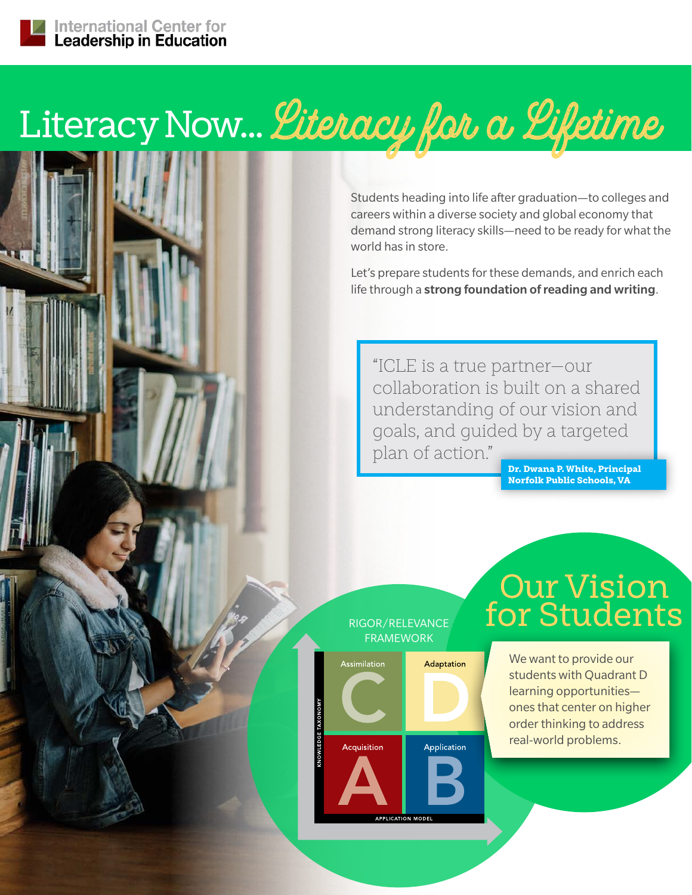# Literacy Now... *Literacy for a Lifetime*

Students heading into life after graduation—to colleges and careers within a diverse society and global economy that demand strong literacy skills—need to be ready for what the world has in store.

Let's prepare students for these demands, and enrich each life through a strong foundation of reading and writing.

"ICLE is a true partner—our collaboration is built on a shared understanding of our vision and goals, and guided by a targeted plan of action."

Dr. Dwana P. White, Principal Norfolk Public Schools, VA

### RIGOR/RELEVANCE FRAMEWORK



# Our Vision for Students

We want to provide our students with Quadrant D learning opportunities ones that center on higher order thinking to address real-world problems.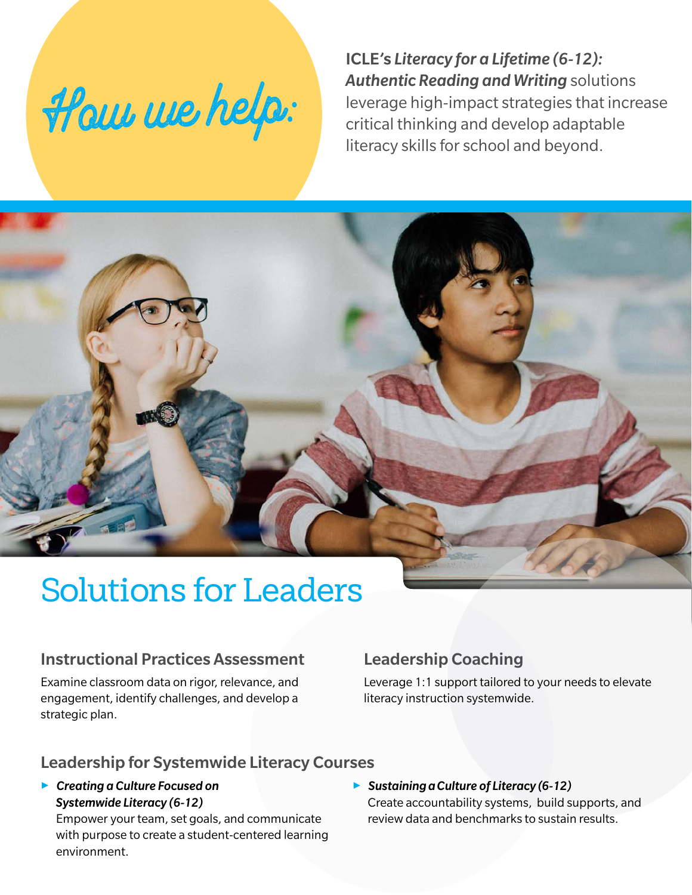

ICLE's *Literacy for a Lifetime (6-12): Authentic Reading and Writing* solutions leverage high-impact strategies that increase critical thinking and develop adaptable literacy skills for school and beyond.

# Solutions for Leaders

### Instructional Practices Assessment

Examine classroom data on rigor, relevance, and engagement, identify challenges, and develop a strategic plan.

# Leadership Coaching

Leverage 1:1 support tailored to your needs to elevate literacy instruction systemwide.

### Leadership for Systemwide Literacy Courses

3 *Creating a Culture Focused on Systemwide Literacy (6-12)*

Empower your team, set goals, and communicate with purpose to create a student-centered learning environment.

3 *Sustaining a Culture of Literacy (6-12)* Create accountability systems, build supports, and review data and benchmarks to sustain results.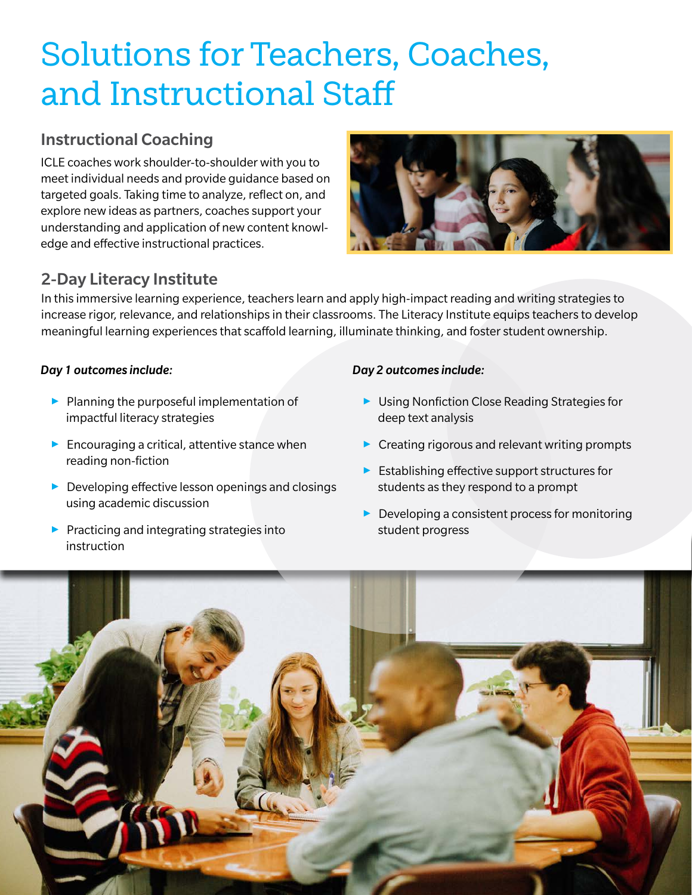# Solutions for Teachers, Coaches, and Instructional Staff

# Instructional Coaching

ICLE coaches work shoulder-to-shoulder with you to meet individual needs and provide guidance based on targeted goals. Taking time to analyze, reflect on, and explore new ideas as partners, coaches support your understanding and application of new content knowledge and effective instructional practices.



# 2-Day Literacy Institute

In this immersive learning experience, teachers learn and apply high-impact reading and writing strategies to increase rigor, relevance, and relationships in their classrooms. The Literacy Institute equips teachers to develop meaningful learning experiences that scaffold learning, illuminate thinking, and foster student ownership.

#### *Day 1 outcomes include:*

- $\blacktriangleright$  Planning the purposeful implementation of impactful literacy strategies
- $\blacktriangleright$  Encouraging a critical, attentive stance when reading non-fiction
- $\triangleright$  Developing effective lesson openings and closings using academic discussion
- $\blacktriangleright$  Practicing and integrating strategies into instruction

#### *Day 2 outcomes include:*

- $\triangleright$  Using Nonfiction Close Reading Strategies for deep text analysis
- $\triangleright$  Creating rigorous and relevant writing prompts
- $\blacktriangleright$  Establishing effective support structures for students as they respond to a prompt
- $\triangleright$  Developing a consistent process for monitoring student progress